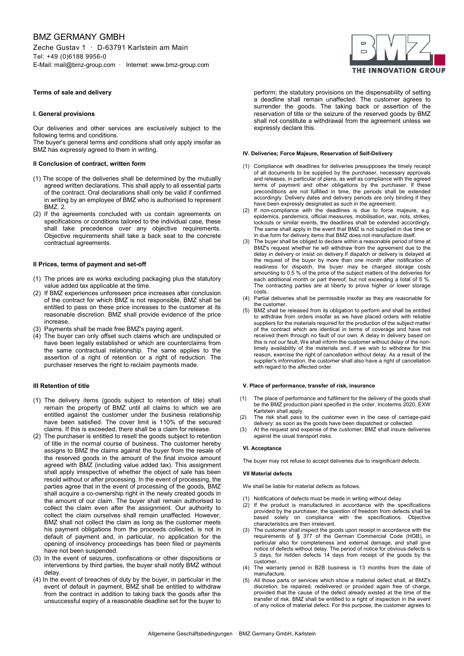# BMZ GERMANY GMBH

Zeche Gustav 1 · D-63791 Karlstein am Main Tel: +49 (0)6188 9956-0 E-Mail: mail@bmz-group.com · Internet: www.bmz-group.com

# **Terms of sale and delivery**

# **I. General provisions**

Our deliveries and other services are exclusively subject to the following terms and conditions.

The buyer's general terms and conditions shall only apply insofar as BMZ has expressly agreed to them in writing.

# **II Conclusion of contract, written form**

- (1) The scope of the deliveries shall be determined by the mutually agreed written declarations. This shall apply to all essential parts of the contract. Oral declarations shall only be valid if confirmed in writing by an employee of BMZ who is authorised to represent BMZ. 2.
- (2) If the agreements concluded with us contain agreements on specifications or conditions tailored to the individual case, these shall take precedence over any objective requirements. Objective requirements shall take a back seat to the concrete contractual agreements.

# **II Prices, terms of payment and set-off**

- (1) The prices are ex works excluding packaging plus the statutory value added tax applicable at the time.
- (2) If BMZ experiences unforeseen price increases after conclusion of the contract for which BMZ is not responsible, BMZ shall be entitled to pass on these price increases to the customer at its reasonable discretion. BMZ shall provide evidence of the price increase.
- Payments shall be made free BMZ's paying agent.
- (4) The buyer can only offset such claims which are undisputed or have been legally established or which are counterclaims from the same contractual relationship. The same applies to the assertion of a right of retention or a right of reduction. The purchaser reserves the right to reclaim payments made.

## **III Retention of title**

- (1) The delivery items (goods subject to retention of title) shall remain the property of BMZ until all claims to which we are entitled against the customer under the business relationship have been satisfied. The cover limit is 110% of the secured claims. If this is exceeded, there shall be a claim for release.
- (2) The purchaser is entitled to resell the goods subject to retention of title in the normal course of business. The customer hereby assigns to BMZ the claims against the buyer from the resale of the reserved goods in the amount of the final invoice amount agreed with BMZ (including value added tax). This assignment shall apply irrespective of whether the object of sale has been resold without or after processing. In the event of processing, the parties agree that in the event of processing of the goods, BMZ shall acquire a co-ownership right in the newly created goods in the amount of our claim. The buyer shall remain authorised to collect the claim even after the assignment. Our authority to collect the claim ourselves shall remain unaffected. However, BMZ shall not collect the claim as long as the customer meets his payment obligations from the proceeds collected, is not in default of payment and, in particular, no application for the opening of insolvency proceedings has been filed or payments have not been suspended.
- (3) In the event of seizures, confiscations or other dispositions or interventions by third parties, the buyer shall notify BMZ without delay.
- (4) In the event of breaches of duty by the buyer, in particular in the event of default in payment, BMZ shall be entitled to withdraw from the contract in addition to taking back the goods after the unsuccessful expiry of a reasonable deadline set for the buyer to



perform; the statutory provisions on the dispensability of setting a deadline shall remain unaffected. The customer agrees to surrender the goods. The taking back or assertion of the reservation of title or the seizure of the reserved goods by BMZ shall not constitute a withdrawal from the agreement unless we expressly declare this.

# **IV. Deliveries; Force Majeure, Reservation of Self-Delivery**

- (1) Compliance with deadlines for deliveries presupposes the timely receipt of all documents to be supplied by the purchaser, necessary approvals and releases, in particular of plans, as well as compliance with the agreed terms of payment and other obligations by the purchaser. If these preconditions are not fulfilled in time, the periods shall be extended accordingly. Delivery dates and delivery periods are only binding if they have been expressly designated as such in the agreement.
- (2) If non-compliance with the deadlines is due to force majeure, e.g. epidemics, pandemics, official measures, mobilisation, war, riots, strikes, lockouts or similar events, the deadlines shall be extended accordingly. The same shall apply in the event that BMZ is not supplied in due time or in due form for delivery items that BMZ does not manufacture itself.
- The buyer shall be obliged to declare within a reasonable period of time at BMZ's request whether he will withdraw from the agreement due to the delay in delivery or insist on delivery.If dispatch or delivery is delayed at the request of the buyer by more than one month after notification of readiness for dispatch, the buyer may be charged storage costs amounting to 0.5 % of the price of the subject matters of the deliveries for each additional month or part thereof, but not exceeding a total of 5 %. The contracting parties are at liberty to prove higher or lower storage costs.
- (4) Partial deliveries shall be permissible insofar as they are reasonable for the customer.
- (5) BMZ shall be released from its obligation to perform and shall be entitled to withdraw from orders insofar as we have placed orders with reliable suppliers for the materials required for the production of the subject matter of the contract which are identical in terms of coverage and have not received them through no fault of our own. A delay in delivery based on this is not our fault. We shall inform the customer without delay of the nontimely availability of the materials and, if we wish to withdraw for this reason, exercise the right of cancellation without delay. As a result of the supplier's information, the customer shall also have a right of cancellation with regard to the affected order.

#### **V. Place of performance, transfer of risk, insurance**

- (1) The place of performance and fulfilment for the delivery of the goods shall be the BMZ production plant specified in the order. Incoterms 2020, EXW Karlstein shall apply.
- (2) The risk shall pass to the customer even in the case of carriage-paid delivery: as soon as the goods have been dispatched or collected.
- (3) At the request and expense of the customer, BMZ shall insure deliveries against the usual transport risks.

#### **VI. Acceptance**

The buyer may not refuse to accept deliveries due to insignificant defects.

# **VII Material defects**

We shall be liable for material defects as follows.

- (1) Notifications of defects must be made in writing without delay.
- (2) If the product is manufactured in accordance with the specifications provided by the purchaser, the question of freedom from defects shall be based solely on compliance with the specifications. Objective characteristics are then irrelevant.
- (3) The customer shall inspect the goods upon receipt in accordance with the requirements of § 377 of the German Commercial Code (HGB), in particular also for completeness and external damage, and shall give notice of defects without delay. The period of notice for obvious defects is 3 days, for hidden defects 14 days from receipt of the goods by the customer..
- (4) The warranty period in B2B business is 13 months from the date of manufacture.
- (5) All those parts or services which show a material defect shall, at BMZ's discretion, be repaired, redelivered or provided again free of charge, provided that the cause of the defect already existed at the time of the transfer of risk. BMZ shall be entitled to a right of inspection in the event of any notice of material defect. For this purpose, the customer agrees to